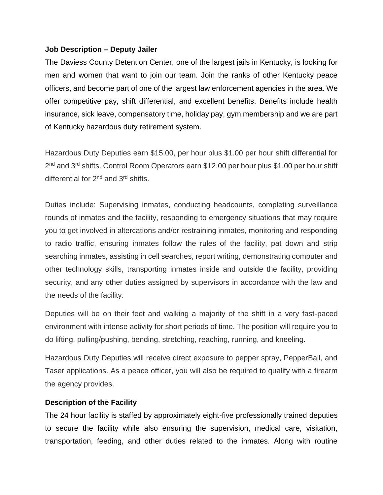## **Job Description – Deputy Jailer**

The Daviess County Detention Center, one of the largest jails in Kentucky, is looking for men and women that want to join our team. Join the ranks of other Kentucky peace officers, and become part of one of the largest law enforcement agencies in the area. We offer competitive pay, shift differential, and excellent benefits. Benefits include health insurance, sick leave, compensatory time, holiday pay, gym membership and we are part of Kentucky hazardous duty retirement system.

Hazardous Duty Deputies earn \$15.00, per hour plus \$1.00 per hour shift differential for 2<sup>nd</sup> and 3<sup>rd</sup> shifts. Control Room Operators earn \$12.00 per hour plus \$1.00 per hour shift differential for 2<sup>nd</sup> and 3<sup>rd</sup> shifts.

Duties include: Supervising inmates, conducting headcounts, completing surveillance rounds of inmates and the facility, responding to emergency situations that may require you to get involved in altercations and/or restraining inmates, monitoring and responding to radio traffic, ensuring inmates follow the rules of the facility, pat down and strip searching inmates, assisting in cell searches, report writing, demonstrating computer and other technology skills, transporting inmates inside and outside the facility, providing security, and any other duties assigned by supervisors in accordance with the law and the needs of the facility.

Deputies will be on their feet and walking a majority of the shift in a very fast-paced environment with intense activity for short periods of time. The position will require you to do lifting, pulling/pushing, bending, stretching, reaching, running, and kneeling.

Hazardous Duty Deputies will receive direct exposure to pepper spray, PepperBall, and Taser applications. As a peace officer, you will also be required to qualify with a firearm the agency provides.

## **Description of the Facility**

The 24 hour facility is staffed by approximately eight-five professionally trained deputies to secure the facility while also ensuring the supervision, medical care, visitation, transportation, feeding, and other duties related to the inmates. Along with routine